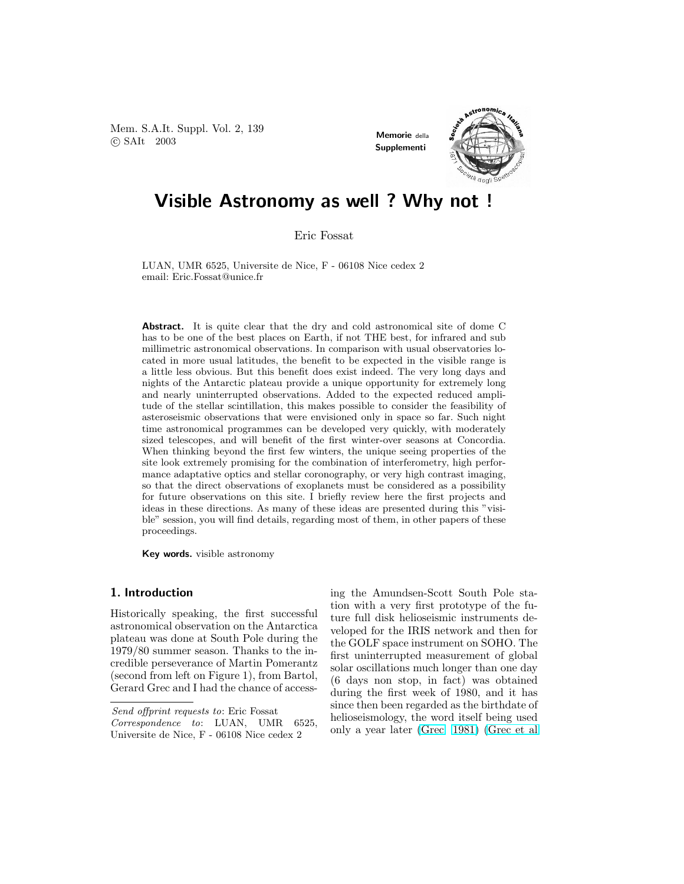Mem. S.A.It. Suppl. Vol. 2, 139 Welli, S.A.L.C. Suppi. vol. 2, 199<br>
C SAIt 2003



# Visible Astronomy as well ? Why not !

Eric Fossat

LUAN, UMR 6525, Universite de Nice, F - 06108 Nice cedex 2 email: Eric.Fossat@unice.fr

Abstract. It is quite clear that the dry and cold astronomical site of dome C has to be one of the best places on Earth, if not THE best, for infrared and sub millimetric astronomical observations. In comparison with usual observatories located in more usual latitudes, the benefit to be expected in the visible range is a little less obvious. But this benefit does exist indeed. The very long days and nights of the Antarctic plateau provide a unique opportunity for extremely long and nearly uninterrupted observations. Added to the expected reduced amplitude of the stellar scintillation, this makes possible to consider the feasibility of asteroseismic observations that were envisioned only in space so far. Such night time astronomical programmes can be developed very quickly, with moderately sized telescopes, and will benefit of the first winter-over seasons at Concordia. When thinking beyond the first few winters, the unique seeing properties of the site look extremely promising for the combination of interferometry, high performance adaptative optics and stellar coronography, or very high contrast imaging, so that the direct observations of exoplanets must be considered as a possibility for future observations on this site. I briefly review here the first projects and ideas in these directions. As many of these ideas are presented during this "visible" session, you will find details, regarding most of them, in other papers of these proceedings.

Key words. visible astronomy

## 1. Introduction

Historically speaking, the first successful astronomical observation on the Antarctica plateau was done at South Pole during the 1979/80 summer season. Thanks to the incredible perseverance of Martin Pomerantz (second from left on Figure 1), from Bartol, Gerard Grec and I had the chance of access-

Send offprint requests to: Eric Fossat

ing the Amundsen-Scott South Pole station with a very first prototype of the future full disk helioseismic instruments developed for the IRIS network and then for the GOLF space instrument on SOHO. The first uninterrupted measurement of global solar oscillations much longer than one day (6 days non stop, in fact) was obtained during the first week of 1980, and it has since then been regarded as the birthdate of helioseismology, the word itself being used only a year later [\(Grec](#page-5-0) [1981\)](#page-5-0) [\(Grec et al](#page-5-0)

Correspondence to: LUAN, UMR 6525, Universite de Nice, F - 06108 Nice cedex 2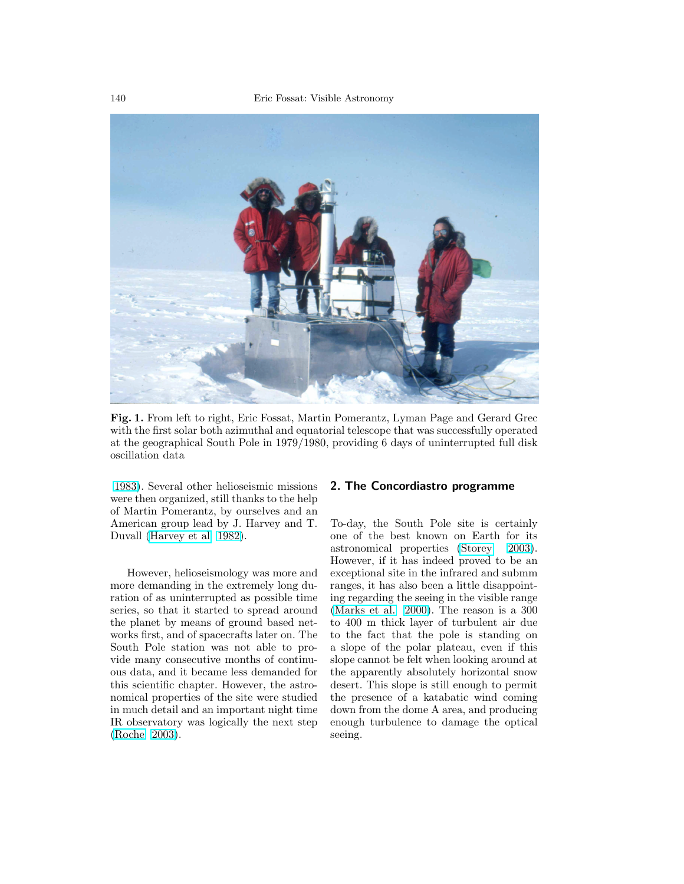

Fig. 1. From left to right, Eric Fossat, Martin Pomerantz, Lyman Page and Gerard Grec Fig. 1. From left to right, Eric Fossat, Martin Pomerantz, Lyman Page and Gerard Grec with the first solar both azimuthal and equatorial telescope that was successfully operated at the geographical South Pole in 1979/1980, providing 6 days of uninterrupted full disk at the geographical South Pole in 1979/1980, providing 6 days of uninterrupted full disk oscillation data oscillation data

[1983\)](#page-5-0). Several other helioseismic missions 1983). Several other helioseismic missions were then organized, still thanks to the help were then organized, still thanks to the help of Martin Pomerantz, by ourselves and an of Martin Pomerantz, by ourselves and an American group lead by J. Harvey and T. American group lead by J. Harvey and T. Duvall (Harvey et al [1982\)](#page-5-0). Duvall [\(Harvey et al](#page-5-0) 1982).

However, helioseismology was more and However, helioseismology was more and more demanding in the extremely long du-more demanding in the extremely long duration of as uninterrupted as possible time series, so that it started to spread around the planet by means of ground based networks first, and of spacecrafts later on. The South Pole station was not able to pro-South Pole station was not able to provide many consecutive months of continuous data, and it became less demanded for ous data, and it became less demanded for this scientific chapter. However, the astronomical properties of the site were studied nomical properties of the site were studied in much detail and an important night time in much detail and an important night time IR observatory was logically the next step IR observatory was logically the next step (Roche 2003). [\(Roche](#page-6-0) [2003\)](#page-6-0).

# 2. The Concordiastro programme 2. The Concordiastro programme

To-day, the South Pole site is certainly To-day, the South Pole site is certainly one of the best known on Earth for its one of the best known on Earth for its astronomical properties (Storey 2003). astronomical properties [\(Storey](#page-6-0) [2003\)](#page-6-0). However, if it has indeed proved to be an However, if it has indeed proved to be an exceptional site in the infrared and submm ranges, it has also been a little disappoint-ranges, it has also been a little disappointing regarding the seeing in the visible range (Marks et al. 2000). The reason is a 300 [\(Marks et al.](#page-5-0) [2000\)](#page-5-0). The reason is a 300 to 400 m thick layer of turbulent air due to 400 m thick layer of turbulent air due to the fact that the pole is standing on to the fact that the pole is standing on a slope of the polar plateau, even if this a slope of the polar plateau, even if this slope cannot be felt when looking around at slope cannot be felt when looking around at the apparently absolutely horizontal snow the apparently absolutely horizontal snow desert. This slope is still enough to permit desert. This slope is still enough to permit the presence of a katabatic wind coming the presence of a katabatic wind coming down from the dome A area, and producing down from the dome A area, and producing enough turbulence to damage the optical seeing. seeing.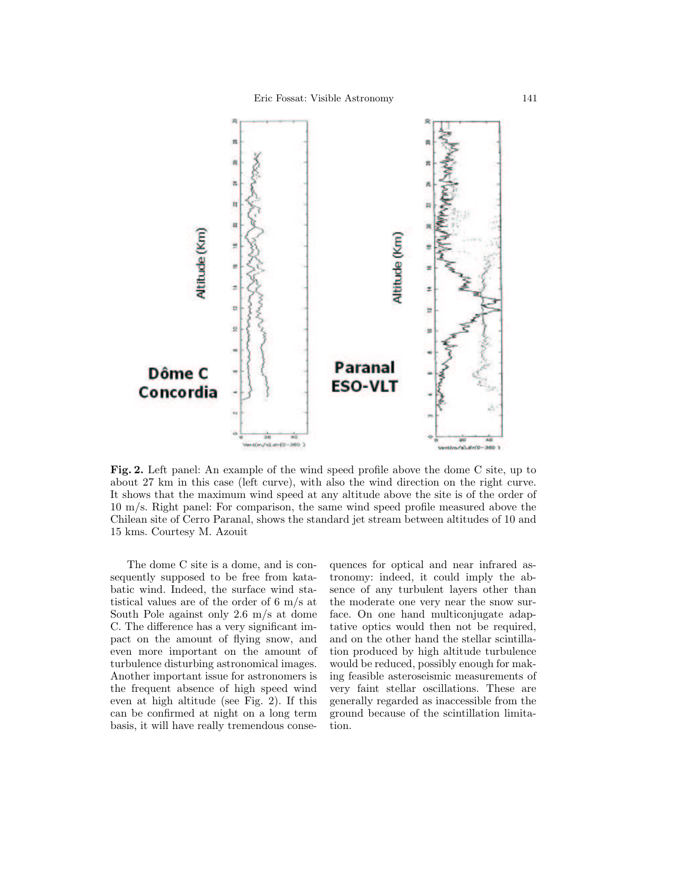

Fig. 2. Left panel: An example of the wind speed profile above the dome C site, up to Fig. 2. Left panel: An example of the wind speed profile above the dome C site, up to about 27 km in this case (left curve), with also the wind direction on the right curve. about 27 km in this case (left curve), with also the wind direction on the right curve. It shows that the maximum wind speed at any altitude above the site is of the order of It shows that the maximum wind speed at any altitude above the site is of the order of 10 m/s. Right panel: For comparison, the same wind speed profile measured above the 10 m/s. Right panel: For comparison, the same wind speed profile measured above the Chilean site of Cerro Paranal, shows the standard jet stream between altitudes of 10 and Chilean site of Cerro Paranal, shows the standard jet stream between altitudes of 10 and 15 kms. Courtesy M. Azouit 15 kms. Courtesy M. Azouit

The dome C site is a dome, and is con-The dome C site is a dome, and is con- $\frac{1}{2}$  is a dome, and is consequently supposed to be free from katabatic wind. Indeed, the surface wind statistical values are of the order of 6 m/s at South Pole against only  $2.6 \text{ m/s at }$  dome C. The difference has a very significant impact on the amount of flying snow, and even more important on the amount of turbulence disturbing astronomical images. Another important issue for astronomers is the frequent absence of high speed wind even at high altitude (see Fig. 2). If this can be confirmed at night on a long term basis, it will have really tremendous conse-

quences for optical and near infrared as- $\frac{1}{\sqrt{1-\frac{1}{\sqrt{1-\frac{1}{\sqrt{1-\frac{1}{\sqrt{1-\frac{1}{\sqrt{1-\frac{1}{\sqrt{1-\frac{1}{\sqrt{1-\frac{1}{\sqrt{1-\frac{1}{\sqrt{1-\frac{1}{\sqrt{1-\frac{1}{\sqrt{1-\frac{1}{\sqrt{1-\frac{1}{\sqrt{1-\frac{1}{\sqrt{1-\frac{1}{\sqrt{1-\frac{1}{\sqrt{1-\frac{1}{\sqrt{1-\frac{1}{\sqrt{1-\frac{1}{\sqrt{1-\frac{1}{\sqrt{1-\frac{1}{\sqrt{1-\frac{1}{\sqrt{1-\frac{1}{\sqrt{1-\frac{1}{\sqrt{1-\frac{1$ tronomy: indeed, it could imply the absence of any turbulent layers other than the moderate one very near the snow surface. On one hand multiconjugate adaptative optics would then not be required, and on the other hand the stellar scintillation produced by high altitude turbulence would be reduced, possibly enough for makthe distribution of possibility distribution in the turbulence of the turbulence of the state of the state of the state of the state of the state of the state of the state of the state of the state of the state of the stat very faint stellar oscillations. These are generally regarded as inaccessible from the ground because of the scintillation limitation.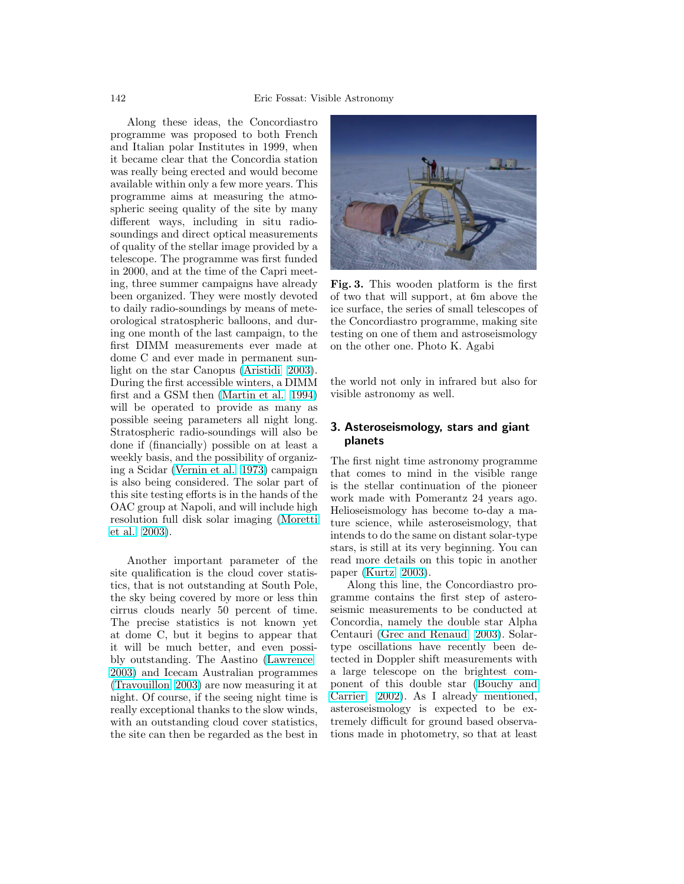Along these ideas, the Concordiastro programme was proposed to both French and Italian polar Institutes in 1999, when it became clear that the Concordia station was really being erected and would become available within only a few more years. This programme aims at measuring the atmospheric seeing quality of the site by many spheric seeing quanty of the site by many<br>different ways, including in situ radiosoundings and direct optical measurements soundings and direct optical inclusions of quality of the stellar image provided by a of quality of the stellar image provided by a<br>telescope. The programme was first funded in 2000, and at the time of the Capri meetin 2000, and at the time of the cappin meet been organized. They were mostly devoted to daily radio-soundings by means of meteorological stratospheric balloons, and during one month of the last campaign, to the first DIMM measurements ever made at dome C and ever made in permanent sun-light on the star Canopus [\(Aristidi](#page-5-0) 2003). During the first accessible winters, a DIMM first and a GSM then [\(Martin et al.](#page-5-0)  $1994$ ) will be operated to provide as many as possible seeing parameters all night long. Stratospheric radio-soundings will also be done if (financially) possible on at least a weekly basis, and the possibility of organiz-ing a Scidar [\(Vernin et al.](#page-6-0) [1973\)](#page-6-0) campaign  $\frac{1}{\sqrt{2}}$  is also being considered. The solar part of  $\frac{1}{\sqrt{2}}$ this site testing efforts is in the hands of the  $\sim 0.6$ OAC group at Napoli, and will include high resolution full disk solar imaging [\(Moretti](#page-6-0) [et al.](#page-6-0)  $2003$ ).

Another important parameter of the site qualification is the cloud cover statistics, that is not outstanding at South Pole, the sky being covered by more or less thin  $\frac{1}{2}$  cirrus clouds nearly 50 percent of time. The precise statistics is not known yet at dome C, but it begins to appear that it will be much better, and even possi-bly outstanding. The Aastino [\(Lawrence](#page-5-0) [2003\)](#page-5-0) and Icecam Australian programmes  $(Tr_{avouillon} 2003)$  $(Tr_{avouillon} 2003)$  are now measuring it at night. Of course, if the seeing night time is really exceptional thanks to the slow winds, with an outstanding cloud cover statistics, the site can then be regarded as the best in we knyt basis, and the possibility of organization of organization of organization of organization of organization of organization of  $\mathcal{O}(n)$ Another important parameter of the



Fig. 3. This wooden platform is the first Fig. 3. This wooden platform is the first of two that will support, at  $6m$  above the ice surface, the series of small telescopes of ice surface, the series of small telescopes of the Concordiastro programme, making site the Concordiastro programme, making site testing on one of them and astroseismology testing on one of them and astroseismology on the other one. Photo K. Agabi $\,$ 

the world not only in infrared but also for visible astronomy as well.

#### $2.$  Actorographical cover stars, and  $x_{\text{init}}$ 3. Asteroseismology, stars and giant  $_{\text{p}}$  in infrared but also for  $\alpha$ planets

The first night time astronomy programme  $\frac{1}{3}$  is the stellar continuation of the pioneer work made with I omerantz 24 years ago.<br>Helioseismology has become to-day a mature science, while asteroseismology, that intends to do the same on distant solar-type stars, is still at its very beginning. You can read more details on this topic in another  $\text{paper (NUTZ } 2003).$ that comes to mind in the visible range work made with Pomerantz 24 years ago. paper [\(Kurtz](#page-5-0) [2003\)](#page-5-0).

Along this line, the Concordiastro programme contains the first step of asteroseismic measurements to be conducted at Concordia, namely the double star Alpha Centauri [\(Grec and Renaud](#page-5-0) [2003\)](#page-5-0). Solarpaper (Kurtz 2003). type oscillations have recently been detected in Doppler shift measurements with a large telescope on the brightest com-seismic measurement of this double star [\(Bouchy and](#page-5-0) [Carrier](#page-5-0) [2002\)](#page-5-0). As I already mentioned,  $\frac{1}{200}$ . The Partial and Renaudition asteroseismology is expected to be extremely difficult for ground based observations made in photometry, so that at least  $\mathbf{r}$  and brightest comseismic measurements to be conducted at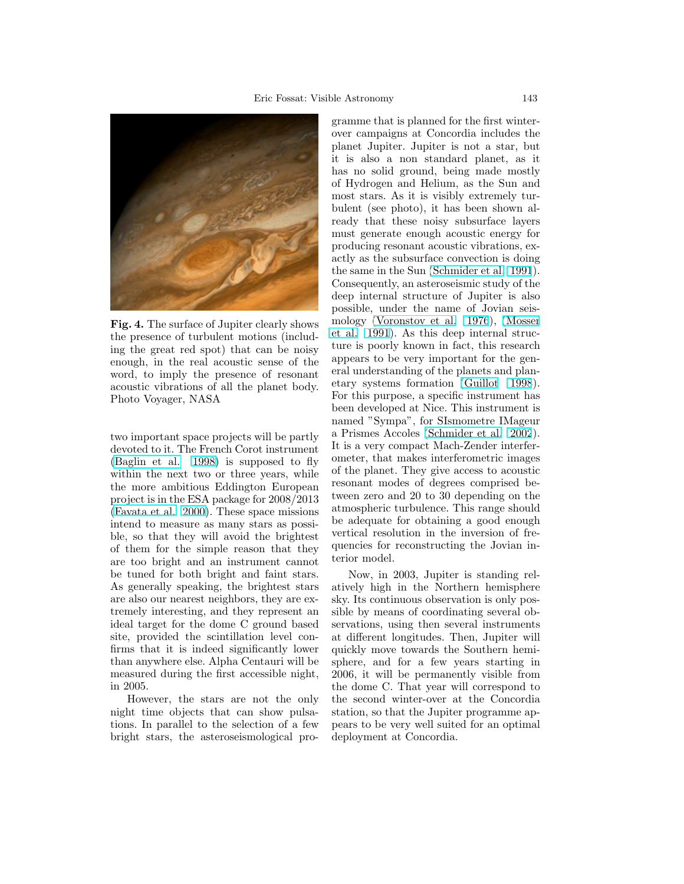

Fig. 4. The surface of Jupiter clearly shows Fig. 4. The surface of Jupiter clearly shows the presence of turbulent motions (includ-the presence of turbulent motions (including the great red spot) that can be noisy ing the great red spot) that can be noisy enough, in the real acoustic sense of the word, to imply the presence of resonant acoustic vibrations of all the planet body.<br>Block Veys on  $NAS_A$ Photo Voyager, NASA Photo Voyager, NASA

[\(Baglin et al.](#page-5-0) [1998\)](#page-5-0) is supposed to fly within the next two or three years, while the more ambitious Eddington European project is in the ESA package for  $2008/2013$  $\left($ Favata et al. 2000). These [space](#page-5-0) missions intend to measure as many stars as possible, so that they will avoid the brightest of them for the simple reason that they are too bright and an instrument cannot be tuned for both bright and faint stars. As generally speaking, the brightest stars are also our nearest neighbors, they are extremely interesting, and they represent an ideal target for the dome C ground based site, provided the scintination level con-<br>firms that it is indeed significantly lower than anywhere else. Alpha Centauri will be and any where else. The model will be measured during the first accessible night,<br>in  $2005$ two important space projects will be partly devoted to it. The French Corot instrument site, provided the scintillation level conin 2005.

However, the stars are not the only night time objects that can show pulsations. In parallel to the selection of a few bright stars, the asteroseismological prothan anywhere else. Alpha Centauri will be

gramme that is planned for the first winterover campaigns at Concordia includes the planet Jupiter. Jupiter is not a star, but it is also a non standard planet, as it has no solid ground, being made mostly of Hydrogen and Helium, as the Sun and most stars. As it is visibly extremely turbutent (see  $\mu$ 1000), it has been shown already that these noisy subsurface layers has no solid ground, being must generate enough acoustic energy for mast generate enough acoustic energy for<br>producing resonant acoustic vibrations, exproducing research designed increases, on the same in the Sun [\(Schmider et al.](#page-6-0) [1991](#page-6-0)). Consequently, an asteroseismic study of the deep internal structure of Jupiter is also possible, under the name of Jovian seis-mology [\(Voronstov et al.](#page-6-0) 1976), [\(Mosser](#page-6-0) [et al.](#page-6-0) [1991](#page-6-0)). As this deep internal structure is poorly known in fact, this research appears to be very important for the general understanding of the planets and plan-etary systems formation [\(Guillot](#page-5-0) [1998](#page-5-0)). For this purpose, a specific instrument has  $\mathbf{F}$ been developed at Nice. This instrument is  $\frac{1}{2}$ named Sympa), for Sismometre imageur<br>a Prismes Accoles [\(Schmider et al.](#page-6-0) [2002](#page-6-0)). a rusines Accoles (Schinder et al. 2002).<br>It is a very compact Mach-Zender interferometer, that makes interferometric images of the planet. They give access to acoustic resonant modes of degrees comprised between zero and 20 to 30 depending on the atmospheric turbulence. This range should be adequate for obtaining a good enough vertical resolution in the inversion of frequencies for reconstructing the Jovian interior model. bulent (see photo), it has been shown alnamed "Sympa", for SIsmometre IMageur

Now, in 2003, Jupiter is standing relatively high in the Northern hemisphere sky. Its continuous observation is only possible by means of coordinating several observations, using then several instruments at different longitudes. Then, Jupiter will quickly move towards the Southern hemi-<br>sphere, and for a few years starting in atively high in the  $\alpha$  lew years starting in 2006, it will be permanently visible from zooo, it will be permanently visible from the second winter-over at the Concordia station, so that the Jupiter programme appears to be very well suited for an optimal deployment at Concordia. quickly move towards the Southern hemi-

sphere, and for a few years starting in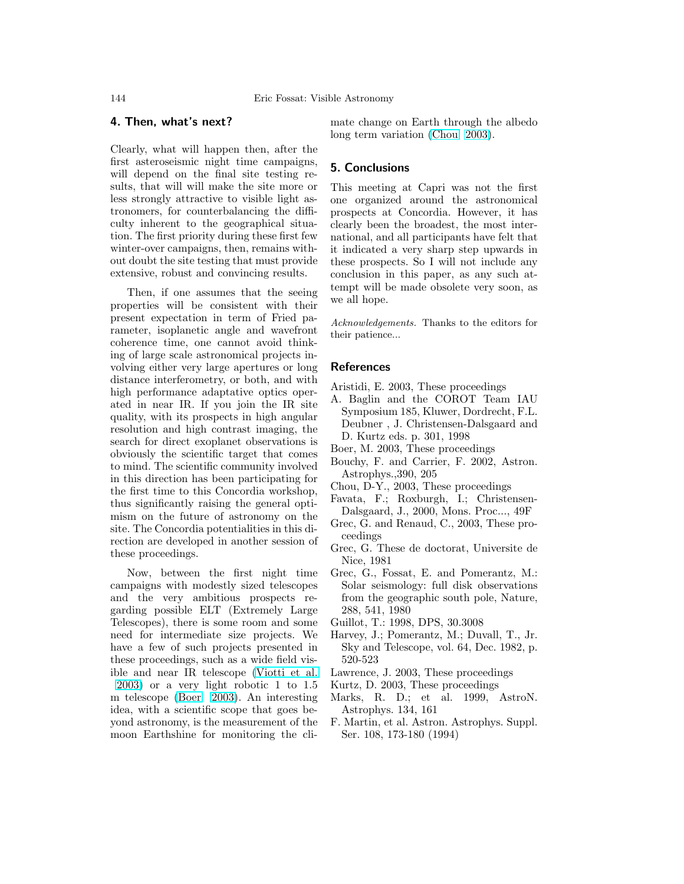# <span id="page-5-0"></span>4. Then, what's next?

Clearly, what will happen then, after the first asteroseismic night time campaigns, will depend on the final site testing results, that will will make the site more or less strongly attractive to visible light astronomers, for counterbalancing the difficulty inherent to the geographical situation. The first priority during these first few winter-over campaigns, then, remains without doubt the site testing that must provide extensive, robust and convincing results.

Then, if one assumes that the seeing properties will be consistent with their present expectation in term of Fried parameter, isoplanetic angle and wavefront coherence time, one cannot avoid thinking of large scale astronomical projects involving either very large apertures or long distance interferometry, or both, and with high performance adaptative optics operated in near IR. If you join the IR site quality, with its prospects in high angular resolution and high contrast imaging, the search for direct exoplanet observations is obviously the scientific target that comes to mind. The scientific community involved in this direction has been participating for the first time to this Concordia workshop, thus significantly raising the general optimism on the future of astronomy on the site. The Concordia potentialities in this direction are developed in another session of these proceedings.

Now, between the first night time campaigns with modestly sized telescopes and the very ambitious prospects regarding possible ELT (Extremely Large Telescopes), there is some room and some need for intermediate size projects. We have a few of such projects presented in these proceedings, such as a wide field visible and near IR telescope [\(Viotti et al.](#page-6-0) [2003\)](#page-6-0) or a very light robotic 1 to 1.5 m telescope (Boer 2003). An interesting idea, with a scientific scope that goes beyond astronomy, is the measurement of the moon Earthshine for monitoring the climate change on Earth through the albedo long term variation (Chou 2003).

## 5. Conclusions

This meeting at Capri was not the first one organized around the astronomical prospects at Concordia. However, it has clearly been the broadest, the most international, and all participants have felt that it indicated a very sharp step upwards in these prospects. So I will not include any conclusion in this paper, as any such attempt will be made obsolete very soon, as we all hope.

Acknowledgements. Thanks to the editors for their patience...

### References

- Aristidi, E. 2003, These proceedings
- A. Baglin and the COROT Team IAU Symposium 185, Kluwer, Dordrecht, F.L. Deubner , J. Christensen-Dalsgaard and D. Kurtz eds. p. 301, 1998
- Boer, M. 2003, These proceedings
- Bouchy, F. and Carrier, F. 2002, Astron. Astrophys.,390, 205
- Chou, D-Y., 2003, These proceedings
- Favata, F.; Roxburgh, I.; Christensen-Dalsgaard, J., 2000, Mons. Proc..., 49F
- Grec, G. and Renaud, C., 2003, These proceedings
- Grec, G. These de doctorat, Universite de Nice, 1981
- Grec, G., Fossat, E. and Pomerantz, M.: Solar seismology: full disk observations from the geographic south pole, Nature, 288, 541, 1980
- Guillot, T.: 1998, DPS, 30.3008
- Harvey, J.; Pomerantz, M.; Duvall, T., Jr. Sky and Telescope, vol. 64, Dec. 1982, p. 520-523
- Lawrence, J. 2003, These proceedings
- Kurtz, D. 2003, These proceedings
- Marks, R. D.; et al. 1999, AstroN. Astrophys. 134, 161
- F. Martin, et al. Astron. Astrophys. Suppl. Ser. 108, 173-180 (1994)